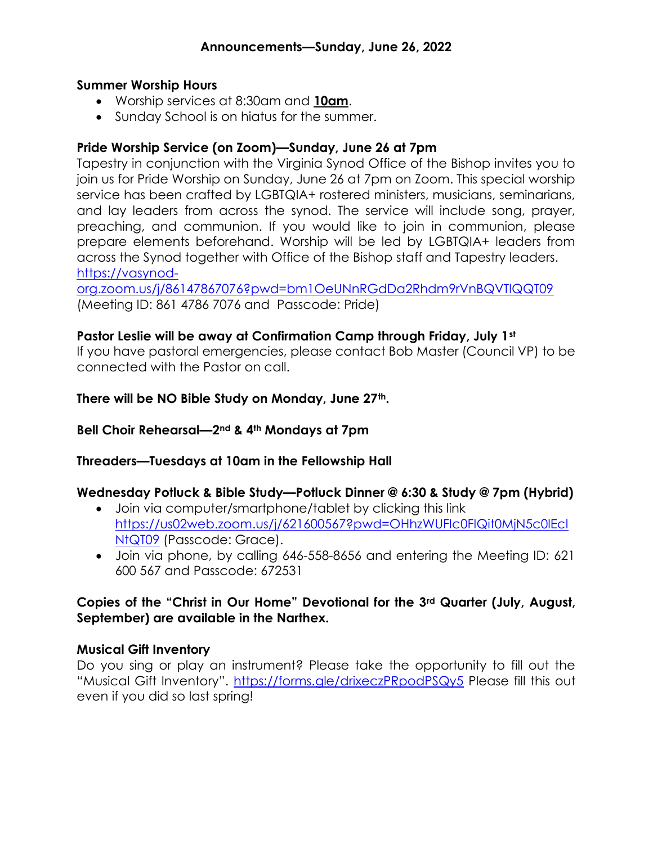#### Summer Worship Hours

- Worship services at 8:30am and 10am.
- Sunday School is on hiatus for the summer.

### Pride Worship Service (on Zoom)—Sunday, June 26 at 7pm

Tapestry in conjunction with the Virginia Synod Office of the Bishop invites you to join us for Pride Worship on Sunday, June 26 at 7pm on Zoom. This special worship service has been crafted by LGBTQIA+ rostered ministers, musicians, seminarians, and lay leaders from across the synod. The service will include song, prayer, preaching, and communion. If you would like to join in communion, please prepare elements beforehand. Worship will be led by LGBTQIA+ leaders from across the Synod together with Office of the Bishop staff and Tapestry leaders. https://vasynod-

org.zoom.us/j/86147867076?pwd=bm1OeUNnRGdDa2Rhdm9rVnBQVTlQQT09 (Meeting ID: 861 4786 7076 and Passcode: Pride)

#### Pastor Leslie will be away at Confirmation Camp through Friday, July 1st

If you have pastoral emergencies, please contact Bob Master (Council VP) to be connected with the Pastor on call.

#### There will be NO Bible Study on Monday, June 27th.

#### Bell Choir Rehearsal—2nd & 4th Mondays at 7pm

#### Threaders—Tuesdays at 10am in the Fellowship Hall

## Wednesday Potluck & Bible Study—Potluck Dinner @ 6:30 & Study @ 7pm (Hybrid)

- Join via computer/smartphone/tablet by clicking this link https://us02web.zoom.us/j/621600567?pwd=OHhzWUFIc0FIQit0MjN5c0lEcl NtQT09 (Passcode: Grace).
- Join via phone, by calling 646-558-8656 and entering the Meeting ID: 621 600 567 and Passcode: 672531

#### Copies of the "Christ in Our Home" Devotional for the 3rd Quarter (July, August, September) are available in the Narthex.

#### Musical Gift Inventory

Do you sing or play an instrument? Please take the opportunity to fill out the "Musical Gift Inventory". https://forms.gle/drixeczPRpodPSQy5 Please fill this out even if you did so last spring!